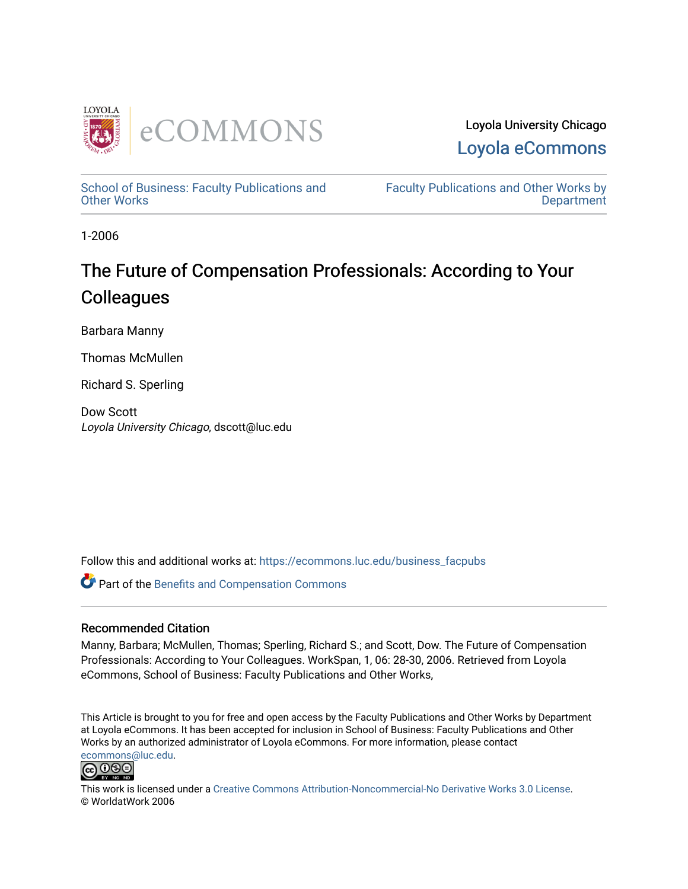

Loyola University Chicago [Loyola eCommons](https://ecommons.luc.edu/) 

[School of Business: Faculty Publications and](https://ecommons.luc.edu/business_facpubs) [Other Works](https://ecommons.luc.edu/business_facpubs)

[Faculty Publications and Other Works by](https://ecommons.luc.edu/faculty)  **Department** 

1-2006

# The Future of Compensation Professionals: According to Your **Colleagues**

Barbara Manny

Thomas McMullen

Richard S. Sperling

Dow Scott Loyola University Chicago, dscott@luc.edu

Follow this and additional works at: [https://ecommons.luc.edu/business\\_facpubs](https://ecommons.luc.edu/business_facpubs?utm_source=ecommons.luc.edu%2Fbusiness_facpubs%2F143&utm_medium=PDF&utm_campaign=PDFCoverPages) 

Part of the [Benefits and Compensation Commons](http://network.bepress.com/hgg/discipline/1255?utm_source=ecommons.luc.edu%2Fbusiness_facpubs%2F143&utm_medium=PDF&utm_campaign=PDFCoverPages) 

## Recommended Citation

Manny, Barbara; McMullen, Thomas; Sperling, Richard S.; and Scott, Dow. The Future of Compensation Professionals: According to Your Colleagues. WorkSpan, 1, 06: 28-30, 2006. Retrieved from Loyola eCommons, School of Business: Faculty Publications and Other Works,

This Article is brought to you for free and open access by the Faculty Publications and Other Works by Department at Loyola eCommons. It has been accepted for inclusion in School of Business: Faculty Publications and Other Works by an authorized administrator of Loyola eCommons. For more information, please contact [ecommons@luc.edu](mailto:ecommons@luc.edu).



This work is licensed under a [Creative Commons Attribution-Noncommercial-No Derivative Works 3.0 License.](https://creativecommons.org/licenses/by-nc-nd/3.0/) © WorldatWork 2006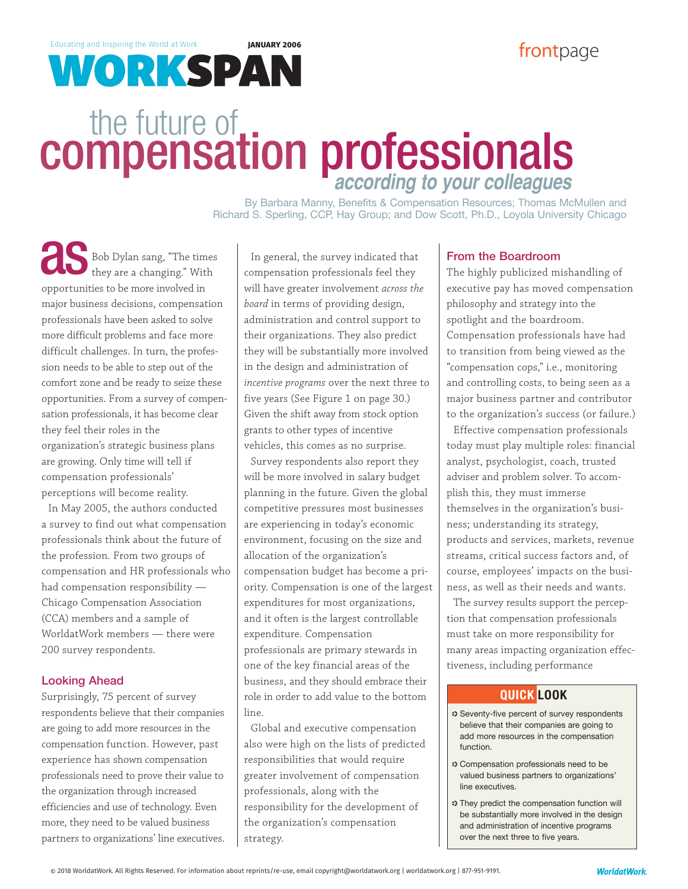480/922-2020; customerrelations@worldatwork.org

# Educating and Inspiring the World at Work **JANUARY 2006**<br>**Educating and Inspiring the World at Work <b>JANUARY 2006**

# the future of<br>**compensation professionals according to your colleagues**

excerpted or redistributed in any form without express written permission of WorldatWork and appropriate attribution. Reach WorldatWork at

> By Barbara Manny, Benefits & Compensation Resources; Thomas McMullen and Richard S. Sperling, CCP, Hay Group; and Dow Scott, Ph.D., Loyola University Chicago

Bob Dylan sang, "The times Bob Dylan sang, "The time they are a changing." With opportunities to be more involved in major business decisions, compensation professionals have been asked to solve more difficult problems and face more difficult challenges. In turn, the profession needs to be able to step out of the comfort zone and be ready to seize these opportunities. From a survey of compensation professionals, it has become clear they feel their roles in the organization's strategic business plans are growing. Only time will tell if compensation professionals' perceptions will become reality.

In May 2005, the authors conducted a survey to find out what compensation professionals think about the future of the profession. From two groups of compensation and HR professionals who had compensation responsibility — Chicago Compensation Association (CCA) members and a sample of WorldatWork members — there were 200 survey respondents.

## Looking Ahead

Surprisingly, 75 percent of survey respondents believe that their companies are going to add more resources in the compensation function. However, past experience has shown compensation professionals need to prove their value to the organization through increased efficiencies and use of technology. Even more, they need to be valued business partners to organizations' line executives.

In general, the survey indicated that compensation professionals feel they will have greater involvement *across the board* in terms of providing design, administration and control support to their organizations. They also predict they will be substantially more involved in the design and administration of *incentive programs* over the next three to five years (See Figure 1 on page 30.) Given the shift away from stock option grants to other types of incentive vehicles, this comes as no surprise.

Survey respondents also report they will be more involved in salary budget planning in the future. Given the global competitive pressures most businesses are experiencing in today's economic environment, focusing on the size and allocation of the organization's compensation budget has become a priority. Compensation is one of the largest expenditures for most organizations, and it often is the largest controllable expenditure. Compensation professionals are primary stewards in one of the key financial areas of the business, and they should embrace their role in order to add value to the bottom line.

Global and executive compensation also were high on the lists of predicted responsibilities that would require greater involvement of compensation professionals, along with the responsibility for the development of the organization's compensation strategy.

## From the Boardroom

The highly publicized mishandling of executive pay has moved compensation philosophy and strategy into the spotlight and the boardroom. Compensation professionals have had to transition from being viewed as the "compensation cops," i.e., monitoring and controlling costs, to being seen as a major business partner and contributor to the organization's success (or failure.)

Effective compensation professionals today must play multiple roles: financial analyst, psychologist, coach, trusted adviser and problem solver. To accomplish this, they must immerse themselves in the organization's business; understanding its strategy, products and services, markets, revenue streams, critical success factors and, of course, employees' impacts on the business, as well as their needs and wants.

The survey results support the perception that compensation professionals must take on more responsibility for many areas impacting organization effectiveness, including performance

# **QUICK LOOK**

- . Seventy-five percent of survey respondents believe that their companies are going to add more resources in the compensation function.
- . Compensation professionals need to be valued business partners to organizations' line executives.
- . They predict the compensation function will be substantially more involved in the design and administration of incentive programs over the next three to five years.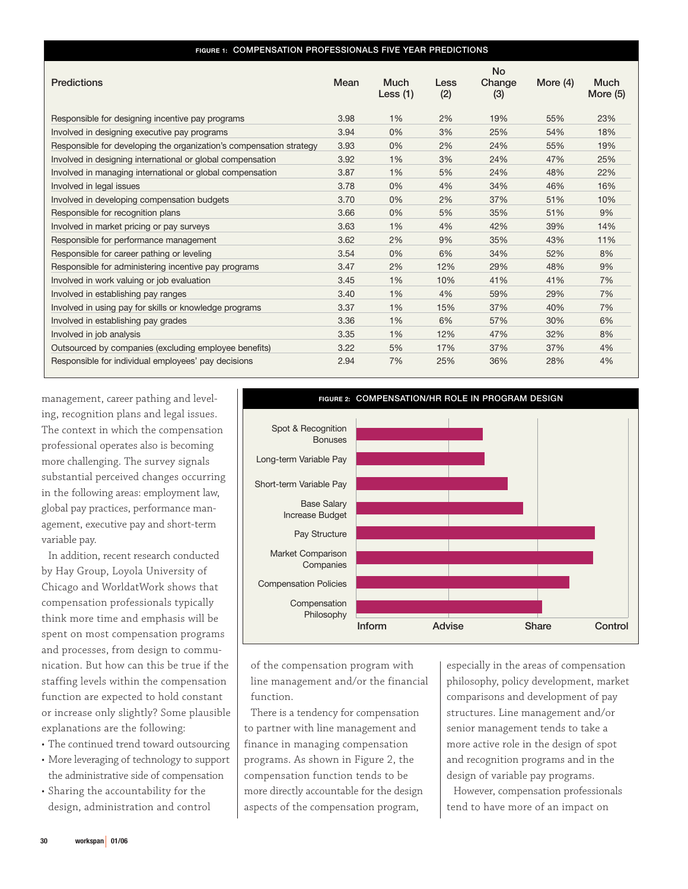#### **FIGURE 1: COMPENSATION PROFESSIONALS FIVE YEAR PREDICTIONS**

| <b>Predictions</b>                                                  | Mean | <b>Much</b><br>Less $(1)$ | Less<br>(2) | <b>No</b><br>Change<br>(3) | More $(4)$ | <b>Much</b><br>More $(5)$ |
|---------------------------------------------------------------------|------|---------------------------|-------------|----------------------------|------------|---------------------------|
| Responsible for designing incentive pay programs                    | 3.98 | 1%                        | 2%          | 19%                        | 55%        | 23%                       |
| Involved in designing executive pay programs                        | 3.94 | 0%                        | 3%          | 25%                        | 54%        | 18%                       |
| Responsible for developing the organization's compensation strategy | 3.93 | 0%                        | 2%          | 24%                        | 55%        | 19%                       |
| Involved in designing international or global compensation          | 3.92 | 1%                        | 3%          | 24%                        | 47%        | 25%                       |
| Involved in managing international or global compensation           | 3.87 | 1%                        | 5%          | 24%                        | 48%        | 22%                       |
| Involved in legal issues                                            | 3.78 | 0%                        | 4%          | 34%                        | 46%        | 16%                       |
| Involved in developing compensation budgets                         | 3.70 | 0%                        | 2%          | 37%                        | 51%        | 10%                       |
| Responsible for recognition plans                                   | 3.66 | 0%                        | 5%          | 35%                        | 51%        | 9%                        |
| Involved in market pricing or pay surveys                           | 3.63 | 1%                        | 4%          | 42%                        | 39%        | 14%                       |
| Responsible for performance management                              | 3.62 | 2%                        | 9%          | 35%                        | 43%        | 11%                       |
| Responsible for career pathing or leveling                          | 3.54 | 0%                        | 6%          | 34%                        | 52%        | 8%                        |
| Responsible for administering incentive pay programs                | 3.47 | 2%                        | 12%         | 29%                        | 48%        | 9%                        |
| Involved in work valuing or job evaluation                          | 3.45 | 1%                        | 10%         | 41%                        | 41%        | 7%                        |
| Involved in establishing pay ranges                                 | 3.40 | 1%                        | 4%          | 59%                        | 29%        | 7%                        |
| Involved in using pay for skills or knowledge programs              | 3.37 | 1%                        | 15%         | 37%                        | 40%        | 7%                        |
| Involved in establishing pay grades                                 | 3.36 | 1%                        | 6%          | 57%                        | 30%        | 6%                        |
| Involved in job analysis                                            | 3.35 | 1%                        | 12%         | 47%                        | 32%        | 8%                        |
| Outsourced by companies (excluding employee benefits)               | 3.22 | 5%                        | 17%         | 37%                        | 37%        | 4%                        |
| Responsible for individual employees' pay decisions                 | 2.94 | 7%                        | 25%         | 36%                        | 28%        | 4%                        |

management, career pathing and leveling, recognition plans and legal issues. The context in which the compensation professional operates also is becoming more challenging. The survey signals substantial perceived changes occurring in the following areas: employment law, global pay practices, performance management, executive pay and short-term variable pay.

In addition, recent research conducted by Hay Group, Loyola University of Chicago and WorldatWork shows that compensation professionals typically think more time and emphasis will be spent on most compensation programs and processes, from design to communication. But how can this be true if the staffing levels within the compensation function are expected to hold constant or increase only slightly? Some plausible explanations are the following:

- The continued trend toward outsourcing
- More leveraging of technology to support the administrative side of compensation
- Sharing the accountability for the design, administration and control



of the compensation program with line management and/or the financial function.

There is a tendency for compensation to partner with line management and finance in managing compensation programs. As shown in Figure 2, the compensation function tends to be more directly accountable for the design aspects of the compensation program,

especially in the areas of compensation philosophy, policy development, market comparisons and development of pay structures. Line management and/or senior management tends to take a more active role in the design of spot and recognition programs and in the design of variable pay programs.

However, compensation professionals tend to have more of an impact on